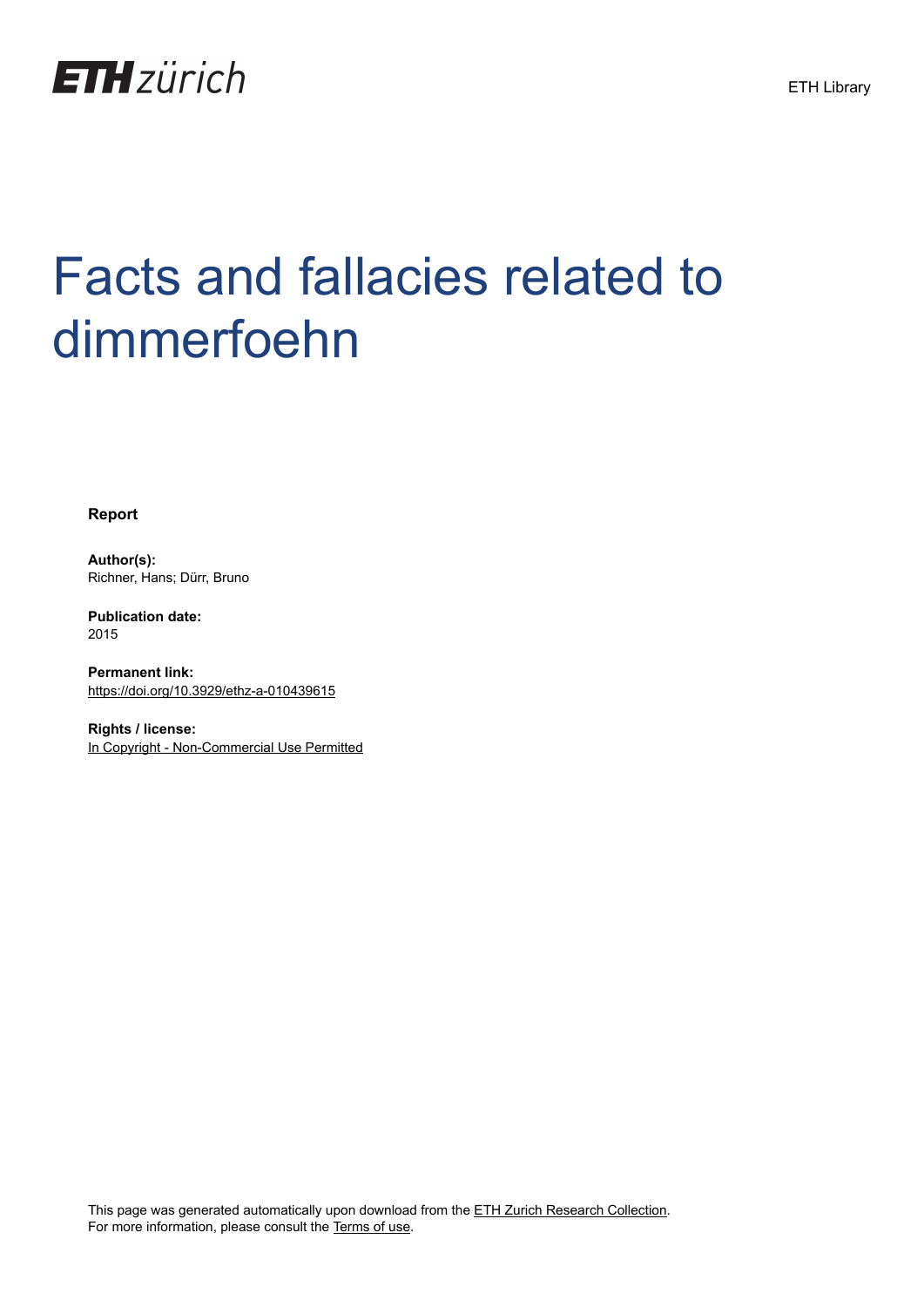

# Facts and fallacies related to dimmerfoehn

**Report**

**Author(s):** Richner, Hans; Dürr, Bruno

**Publication date:** 2015

**Permanent link:** <https://doi.org/10.3929/ethz-a-010439615>

**Rights / license:** [In Copyright - Non-Commercial Use Permitted](http://rightsstatements.org/page/InC-NC/1.0/)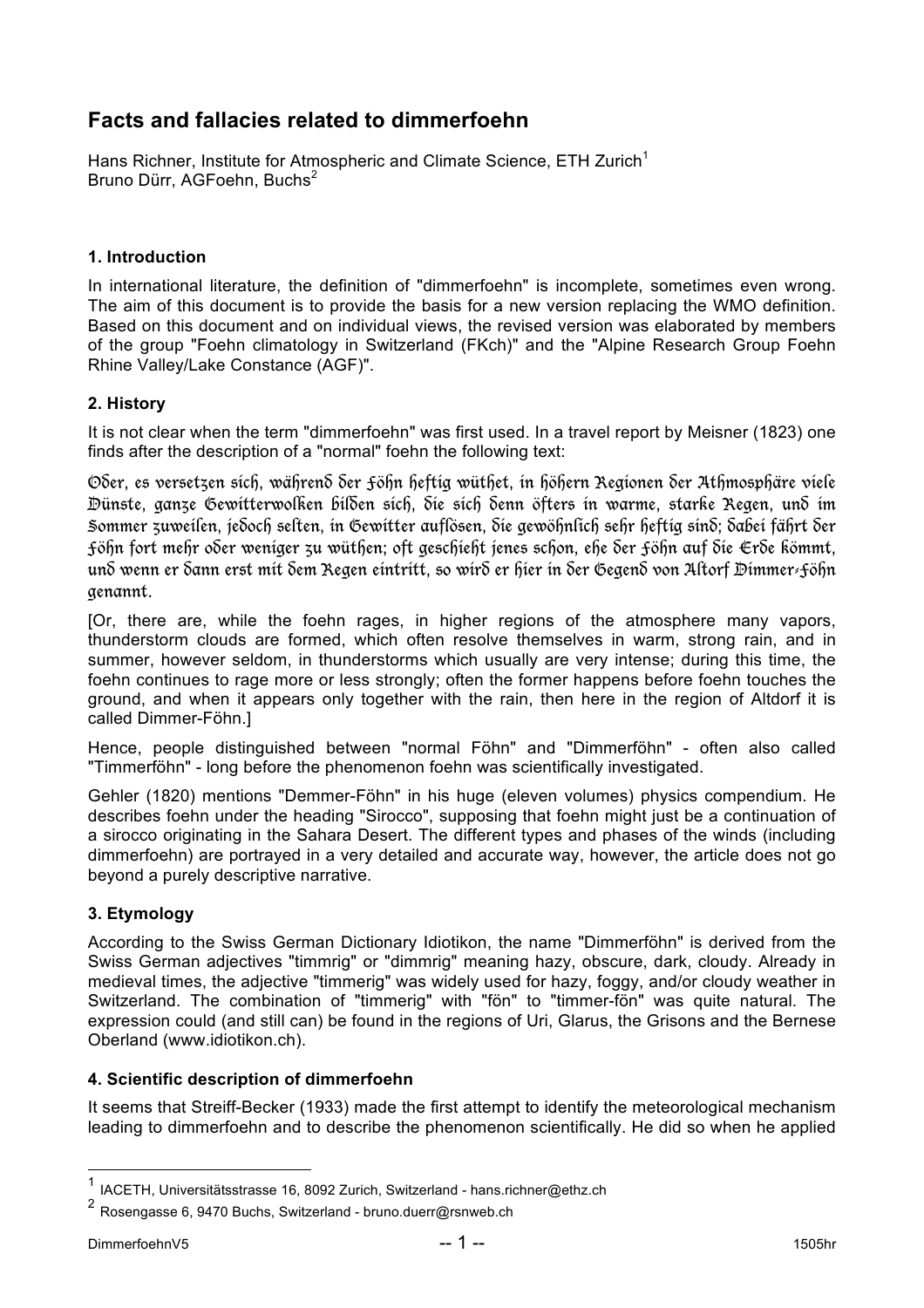# **Facts and fallacies related to dimmerfoehn**

Hans Richner, Institute for Atmospheric and Climate Science, ETH Zurich<sup>1</sup> Bruno Dürr, AGFoehn, Buchs<sup>2</sup>

#### **1. Introduction**

In international literature, the definition of "dimmerfoehn" is incomplete, sometimes even wrong. The aim of this document is to provide the basis for a new version replacing the WMO definition. Based on this document and on individual views, the revised version was elaborated by members of the group "Foehn climatology in Switzerland (FKch)" and the "Alpine Research Group Foehn Rhine Valley/Lake Constance (AGF)".

### **2. History**

It is not clear when the term "dimmerfoehn" was first used. In a travel report by Meisner (1823) one finds after the description of a "normal" foehn the following text:

Oder, es versetzen sich, während der Föhn heftig wüthet, in höhern Regionen der Athmosphäre viele Dünste, ganze Gewitterwolken bilden sich, die sich denn öfters in warme, starke Regen, und im Sommer zuweilen, jedoch selten, in Gewitter auflösen, die gewöhnlich sehr heftig sind; dabei fährt der Föhn fort mehr oder weniger zu wüthen; oft geschieht jenes schon, ehe der Föhn auf die Erde kömmt, und wenn er dann erst mit dem Regen eintritt, so wird er hier in der Gegend von Altorf Dimmer-Föhn genannt.

[Or, there are, while the foehn rages, in higher regions of the atmosphere many vapors, thunderstorm clouds are formed, which often resolve themselves in warm, strong rain, and in summer, however seldom, in thunderstorms which usually are very intense; during this time, the foehn continues to rage more or less strongly; often the former happens before foehn touches the ground, and when it appears only together with the rain, then here in the region of Altdorf it is called Dimmer-Föhn.]

Hence, people distinguished between "normal Föhn" and "Dimmerföhn" - often also called "Timmerföhn" - long before the phenomenon foehn was scientifically investigated.

Gehler (1820) mentions "Demmer-Föhn" in his huge (eleven volumes) physics compendium. He describes foehn under the heading "Sirocco", supposing that foehn might just be a continuation of a sirocco originating in the Sahara Desert. The different types and phases of the winds (including dimmerfoehn) are portrayed in a very detailed and accurate way, however, the article does not go beyond a purely descriptive narrative.

#### **3. Etymology**

According to the Swiss German Dictionary Idiotikon, the name "Dimmerföhn" is derived from the Swiss German adjectives "timmrig" or "dimmrig" meaning hazy, obscure, dark, cloudy. Already in medieval times, the adjective "timmerig" was widely used for hazy, foggy, and/or cloudy weather in Switzerland. The combination of "timmerig" with "fön" to "timmer-fön" was quite natural. The expression could (and still can) be found in the regions of Uri, Glarus, the Grisons and the Bernese Oberland (www.idiotikon.ch).

#### **4. Scientific description of dimmerfoehn**

It seems that Streiff-Becker (1933) made the first attempt to identify the meteorological mechanism leading to dimmerfoehn and to describe the phenomenon scientifically. He did so when he applied

 <sup>1</sup> IACETH, Universitätsstrasse 16, 8092 Zurich, Switzerland - hans.richner@ethz.ch

<sup>2</sup> Rosengasse 6, 9470 Buchs, Switzerland - bruno.duerr@rsnweb.ch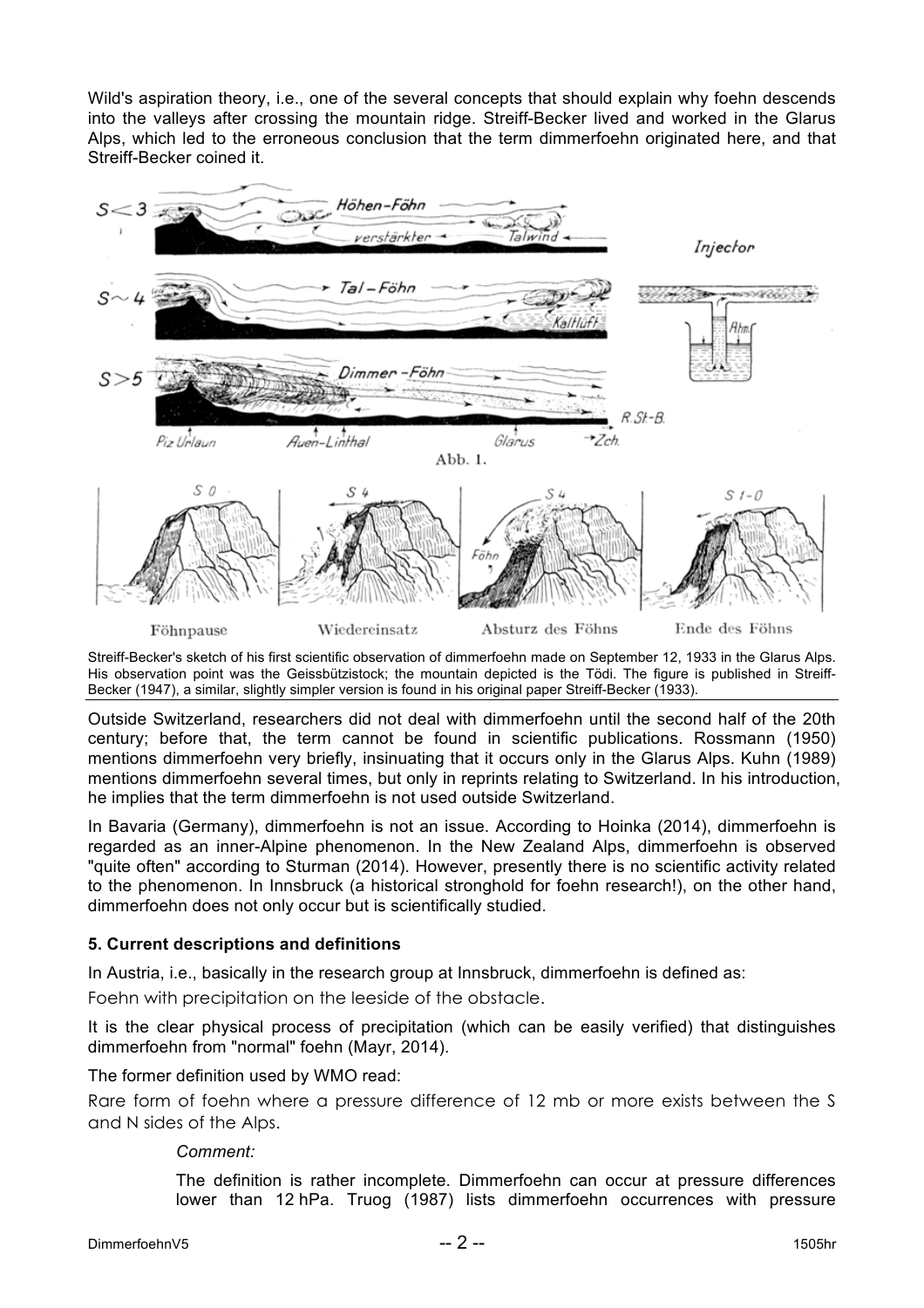Wild's aspiration theory, i.e., one of the several concepts that should explain why foehn descends into the valleys after crossing the mountain ridge. Streiff-Becker lived and worked in the Glarus Alps, which led to the erroneous conclusion that the term dimmerfoehn originated here, and that Streiff-Becker coined it.



Streiff-Becker's sketch of his first scientific observation of dimmerfoehn made on September 12, 1933 in the Glarus Alps. His observation point was the Geissbützistock; the mountain depicted is the Tödi. The figure is published in Streiff-Becker (1947), a similar, slightly simpler version is found in his original paper Streiff-Becker (1933).

Outside Switzerland, researchers did not deal with dimmerfoehn until the second half of the 20th century; before that, the term cannot be found in scientific publications. Rossmann (1950) mentions dimmerfoehn very briefly, insinuating that it occurs only in the Glarus Alps. Kuhn (1989) mentions dimmerfoehn several times, but only in reprints relating to Switzerland. In his introduction, he implies that the term dimmerfoehn is not used outside Switzerland.

In Bavaria (Germany), dimmerfoehn is not an issue. According to Hoinka (2014), dimmerfoehn is regarded as an inner-Alpine phenomenon. In the New Zealand Alps, dimmerfoehn is observed "quite often" according to Sturman (2014). However, presently there is no scientific activity related to the phenomenon. In Innsbruck (a historical stronghold for foehn research!), on the other hand, dimmerfoehn does not only occur but is scientifically studied.

## **5. Current descriptions and definitions**

In Austria, i.e., basically in the research group at Innsbruck, dimmerfoehn is defined as:

Foehn with precipitation on the leeside of the obstacle.

It is the clear physical process of precipitation (which can be easily verified) that distinguishes dimmerfoehn from "normal" foehn (Mayr, 2014).

The former definition used by WMO read:

Rare form of foehn where a pressure difference of 12 mb or more exists between the S and N sides of the Alps.

#### *Comment:*

The definition is rather incomplete. Dimmerfoehn can occur at pressure differences lower than 12 hPa. Truog (1987) lists dimmerfoehn occurrences with pressure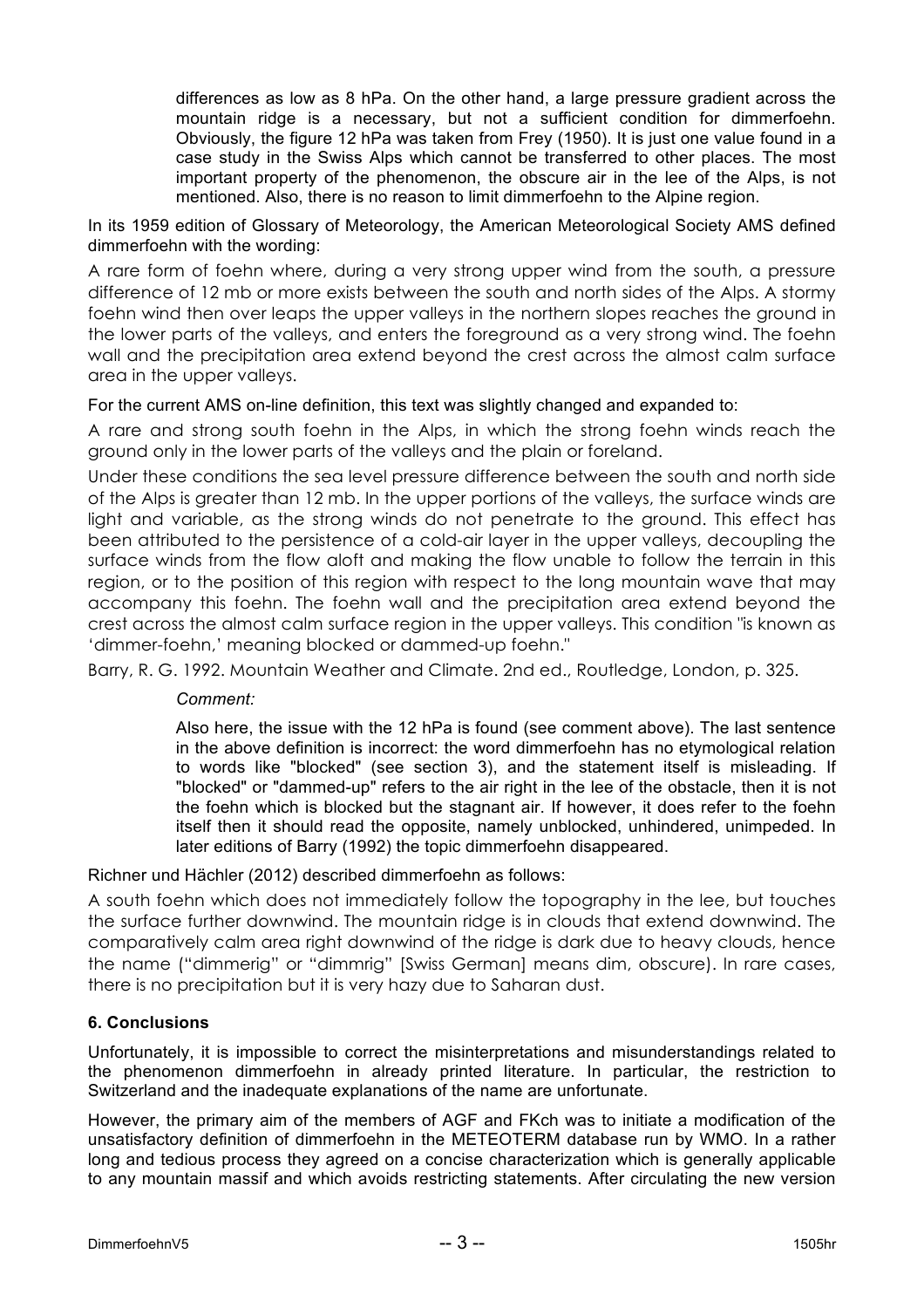differences as low as 8 hPa. On the other hand, a large pressure gradient across the mountain ridge is a necessary, but not a sufficient condition for dimmerfoehn. Obviously, the figure 12 hPa was taken from Frey (1950). It is just one value found in a case study in the Swiss Alps which cannot be transferred to other places. The most important property of the phenomenon, the obscure air in the lee of the Alps, is not mentioned. Also, there is no reason to limit dimmerfoehn to the Alpine region.

In its 1959 edition of Glossary of Meteorology, the American Meteorological Society AMS defined dimmerfoehn with the wording:

A rare form of foehn where, during a very strong upper wind from the south, a pressure difference of 12 mb or more exists between the south and north sides of the Alps. A stormy foehn wind then over leaps the upper valleys in the northern slopes reaches the ground in the lower parts of the valleys, and enters the foreground as a very strong wind. The foehn wall and the precipitation area extend beyond the crest across the almost calm surface area in the upper valleys.

For the current AMS on-line definition, this text was slightly changed and expanded to:

A rare and strong south foehn in the Alps, in which the strong foehn winds reach the ground only in the lower parts of the valleys and the plain or foreland.

Under these conditions the sea level pressure difference between the south and north side of the Alps is greater than 12 mb. In the upper portions of the valleys, the surface winds are light and variable, as the strong winds do not penetrate to the ground. This effect has been attributed to the persistence of a cold-air layer in the upper valleys, decoupling the surface winds from the flow aloft and making the flow unable to follow the terrain in this region, or to the position of this region with respect to the long mountain wave that may accompany this foehn. The foehn wall and the precipitation area extend beyond the crest across the almost calm surface region in the upper valleys. This condition "is known as 'dimmer-foehn,' meaning blocked or dammed-up foehn."

Barry, R. G. 1992. Mountain Weather and Climate. 2nd ed., Routledge, London, p. 325.

#### *Comment:*

Also here, the issue with the 12 hPa is found (see comment above). The last sentence in the above definition is incorrect: the word dimmerfoehn has no etymological relation to words like "blocked" (see section 3), and the statement itself is misleading. If "blocked" or "dammed-up" refers to the air right in the lee of the obstacle, then it is not the foehn which is blocked but the stagnant air. If however, it does refer to the foehn itself then it should read the opposite, namely unblocked, unhindered, unimpeded. In later editions of Barry (1992) the topic dimmerfoehn disappeared.

#### Richner und Hächler (2012) described dimmerfoehn as follows:

A south foehn which does not immediately follow the topography in the lee, but touches the surface further downwind. The mountain ridge is in clouds that extend downwind. The comparatively calm area right downwind of the ridge is dark due to heavy clouds, hence the name ("dimmerig" or "dimmrig" [Swiss German] means dim, obscure). In rare cases, there is no precipitation but it is very hazy due to Saharan dust.

#### **6. Conclusions**

Unfortunately, it is impossible to correct the misinterpretations and misunderstandings related to the phenomenon dimmerfoehn in already printed literature. In particular, the restriction to Switzerland and the inadequate explanations of the name are unfortunate.

However, the primary aim of the members of AGF and FKch was to initiate a modification of the unsatisfactory definition of dimmerfoehn in the METEOTERM database run by WMO. In a rather long and tedious process they agreed on a concise characterization which is generally applicable to any mountain massif and which avoids restricting statements. After circulating the new version